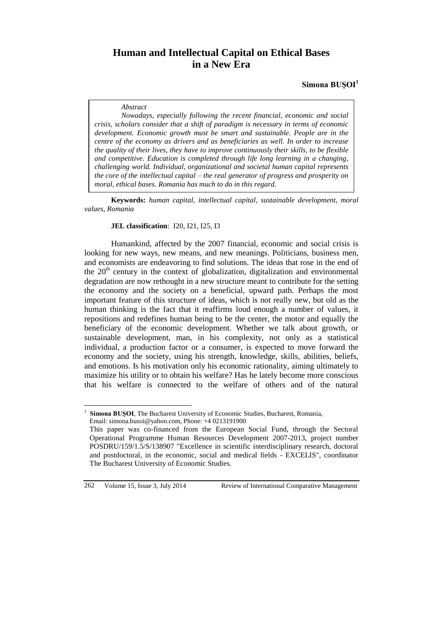# **Human and Intellectual Capital on Ethical Bases in a New Era**

**Simona BUŞOI<sup>1</sup>**

#### *Abstract*

*Nowadays, especially following the recent financial, economic and social crisis, scholars consider that a shift of paradigm is necessary in terms of economic development. Economic growth must be smart and sustainable. People are in the centre of the economy as drivers and as beneficiaries as well. In order to increase the quality of their lives, they have to improve continuously their skills, to be flexible and competitive. Education is completed through life long learning in a changing, challenging world. Individual, organizational and societal human capital represents the core of the intellectual capital – the real generator of progress and prosperity on moral, ethical bases. Romania has much to do in this regard.*

**Keywords:** *human capital, intellectual capital, sustainable development, moral values, Romania*

#### **JEL classification**: I20, I21, I25, I3

Humankind, affected by the 2007 financial, economic and social crisis is looking for new ways, new means, and new meanings. Politicians, business men, and economists are endeavoring to find solutions. The ideas that rose in the end of the 20<sup>th</sup> century in the context of globalization, digitalization and environmental degradation are now rethought in a new structure meant to contribute for the setting the economy and the society on a beneficial, upward path. Perhaps the most important feature of this structure of ideas, which is not really new, but old as the human thinking is the fact that it reaffirms loud enough a number of values, it repositions and redefines human being to be the center, the motor and equally the beneficiary of the economic development. Whether we talk about growth, or sustainable development, man, in his complexity, not only as a statistical individual, a production factor or a consumer, is expected to move forward the economy and the society, using his strength, knowledge, skills, abilities, beliefs, and emotions. Is his motivation only his economic rationality, aiming ultimately to maximize his utility or to obtain his welfare? Has he lately become more conscious that his welfare is connected to the welfare of others and of the natural

 $\overline{a}$ 

<sup>1</sup> **Simona BUŞOI**, The Bucharest University of Economic Studies, Bucharest, Romania, Email: simona.busoi@yahoo.com, Phone: +4 0213191900

This paper was co-financed from the European Social Fund, through the Sectoral Operational Programme Human Resources Development 2007-2013, project number POSDRU/159/1.5/S/138907 "Excellence in scientific interdisciplinary research, doctoral and postdoctoral, in the economic, social and medical fields - EXCELIS", coordinator The Bucharest University of Economic Studies.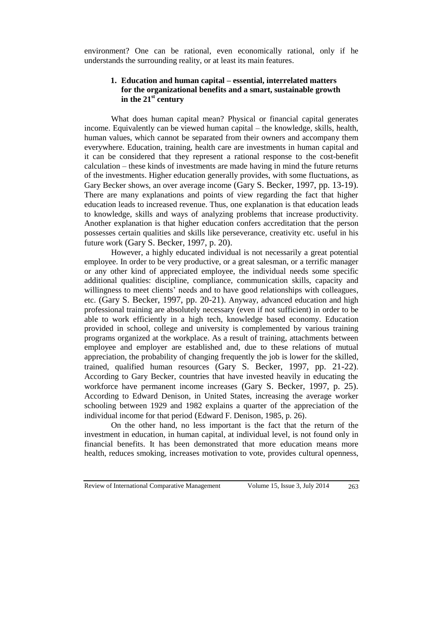environment? One can be rational, even economically rational, only if he understands the surrounding reality, or at least its main features.

## **1. Education and human capital – essential, interrelated matters for the organizational benefits and a smart, sustainable growth in the 21st century**

What does human capital mean? Physical or financial capital generates income. Equivalently can be viewed human capital – the knowledge, skills, health, human values, which cannot be separated from their owners and accompany them everywhere. Education, training, health care are investments in human capital and it can be considered that they represent a rational response to the cost-benefit calculation – these kinds of investments are made having in mind the future returns of the investments. Higher education generally provides, with some fluctuations, as Gary Becker shows, an over average income (Gary S. Becker, 1997, pp. 13-19). There are many explanations and points of view regarding the fact that higher education leads to increased revenue. Thus, one explanation is that education leads to knowledge, skills and ways of analyzing problems that increase productivity. Another explanation is that higher education confers accreditation that the person possesses certain qualities and skills like perseverance, creativity etc. useful in his future work (Gary S. Becker, 1997, p. 20).

However, a highly educated individual is not necessarily a great potential employee. In order to be very productive, or a great salesman, or a terrific manager or any other kind of appreciated employee, the individual needs some specific additional qualities: discipline, compliance, communication skills, capacity and willingness to meet clients' needs and to have good relationships with colleagues, etc. (Gary S. Becker, 1997, pp. 20-21). Anyway, advanced education and high professional training are absolutely necessary (even if not sufficient) in order to be able to work efficiently in a high tech, knowledge based economy. Education provided in school, college and university is complemented by various training programs organized at the workplace. As a result of training, attachments between employee and employer are established and, due to these relations of mutual appreciation, the probability of changing frequently the job is lower for the skilled, trained, qualified human resources (Gary S. Becker, 1997, pp. 21-22). According to Gary Becker, countries that have invested heavily in educating the workforce have permanent income increases (Gary S. Becker, 1997, p. 25). According to Edward Denison, in United States, increasing the average worker schooling between 1929 and 1982 explains a quarter of the appreciation of the individual income for that period (Edward F. Denison, 1985, p. 26).

On the other hand, no less important is the fact that the return of the investment in education, in human capital, at individual level, is not found only in financial benefits. It has been demonstrated that more education means more health, reduces smoking, increases motivation to vote, provides cultural openness,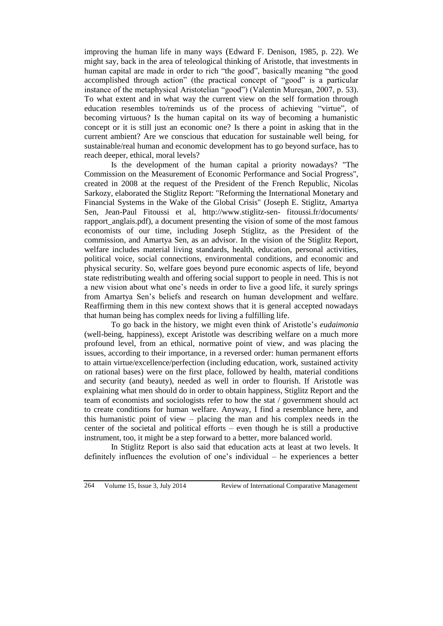improving the human life in many ways (Edward F. Denison, 1985, p. 22). We might say, back in the area of teleological thinking of Aristotle, that investments in human capital are made in order to rich "the good", basically meaning "the good accomplished through action" (the practical concept of "good" is a particular instance of the metaphysical Aristotelian "good") (Valentin Mureşan, 2007, p. 53). To what extent and in what way the current view on the self formation through education resembles to/reminds us of the process of achieving "virtue", of becoming virtuous? Is the human capital on its way of becoming a humanistic concept or it is still just an economic one? Is there a point in asking that in the current ambient? Are we conscious that education for sustainable well being, for sustainable/real human and economic development has to go beyond surface, has to reach deeper, ethical, moral levels?

Is the development of the human capital a priority nowadays? "The Commission on the Measurement of Economic Performance and Social Progress", created in 2008 at the request of the President of the French Republic, Nicolas Sarkozy, elaborated the Stiglitz Report: "Reforming the International Monetary and Financial Systems in the Wake of the Global Crisis" (Joseph E. Stiglitz, Amartya Sen, Jean-Paul Fitoussi et al, http://www.stiglitz-sen- fitoussi.fr/documents/ rapport anglais.pdf), a document presenting the vision of some of the most famous economists of our time, including Joseph Stiglitz, as the President of the commission, and Amartya Sen, as an advisor. In the vision of the Stiglitz Report, welfare includes material living standards, health, education, personal activities, political voice, social connections, environmental conditions, and economic and physical security. So, welfare goes beyond pure economic aspects of life, beyond state redistributing wealth and offering social support to people in need. This is not a new vision about what one's needs in order to live a good life, it surely springs from Amartya Sen's beliefs and research on human development and welfare. Reaffirming them in this new context shows that it is general accepted nowadays that human being has complex needs for living a fulfilling life.

To go back in the history, we might even think of Aristotle's *eudaimonia* (well-being, happiness), except Aristotle was describing welfare on a much more profound level, from an ethical, normative point of view, and was placing the issues, according to their importance, in a reversed order: human permanent efforts to attain virtue/excellence/perfection (including education, work, sustained activity on rational bases) were on the first place, followed by health, material conditions and security (and beauty), needed as well in order to flourish. If Aristotle was explaining what men should do in order to obtain happiness, Stiglitz Report and the team of economists and sociologists refer to how the stat / government should act to create conditions for human welfare. Anyway, I find a resemblance here, and this humanistic point of view – placing the man and his complex needs in the center of the societal and political efforts – even though he is still a productive instrument, too, it might be a step forward to a better, more balanced world.

In Stiglitz Report is also said that education acts at least at two levels. It definitely influences the evolution of one's individual – he experiences a better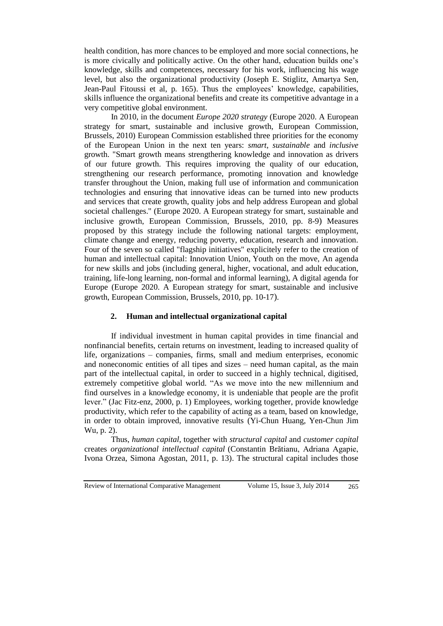health condition, has more chances to be employed and more social connections, he is more civically and politically active. On the other hand, education builds one's knowledge, skills and competences, necessary for his work, influencing his wage level, but also the organizational productivity (Joseph E. Stiglitz, Amartya Sen, Jean-Paul Fitoussi et al, p. 165). Thus the employees' knowledge, capabilities, skills influence the organizational benefits and create its competitive advantage in a very competitive global environment.

In 2010, in the document *Europe 2020 strategy* (Europe 2020. A European strategy for smart, sustainable and inclusive growth, European Commission, Brussels, 2010) European Commission established three priorities for the economy of the European Union in the next ten years: *smart*, *sustainable* and *inclusive* growth. "Smart growth means strengthering knowledge and innovation as drivers of our future growth. This requires improving the quality of our education, strengthening our research performance, promoting innovation and knowledge transfer throughout the Union, making full use of information and communication technologies and ensuring that innovative ideas can be turned into new products and services that create growth, quality jobs and help address European and global societal challenges." (Europe 2020. A European strategy for smart, sustainable and inclusive growth, European Commission, Brussels, 2010, pp. 8-9) Measures proposed by this strategy include the following national targets: employment, climate change and energy, reducing poverty, education, research and innovation. Four of the seven so called "flagship initiatives" explicitely refer to the creation of human and intellectual capital: Innovation Union, Youth on the move, An agenda for new skills and jobs (including general, higher, vocational, and adult education, training, life-long learning, non-formal and informal learning), A digital agenda for Europe (Europe 2020. A European strategy for smart, sustainable and inclusive growth, European Commission, Brussels, 2010, pp. 10-17).

#### **2. Human and intellectual organizational capital**

If individual investment in human capital provides in time financial and nonfinancial benefits, certain returns on investment, leading to increased quality of life, organizations – companies, firms, small and medium enterprises, economic and noneconomic entities of all tipes and sizes – need human capital, as the main part of the intellectual capital, in order to succeed in a highly technical, digitised, extremely competitive global world. "As we move into the new millennium and find ourselves in a knowledge economy, it is undeniable that people are the profit lever." (Jac Fitz-enz, 2000, p. 1) Employees, working together, provide knowledge productivity, which refer to the capability of acting as a team, based on knowledge, in order to obtain improved, innovative results (Yi-Chun Huang, Yen-Chun Jim Wu, p. 2).

Thus, *human capital*, together with *structural capital* and *customer capital* creates *organizational intellectual capital* (Constantin Brătianu, Adriana Agapie, Ivona Orzea, Simona Agostan, 2011, p. 13). The structural capital includes those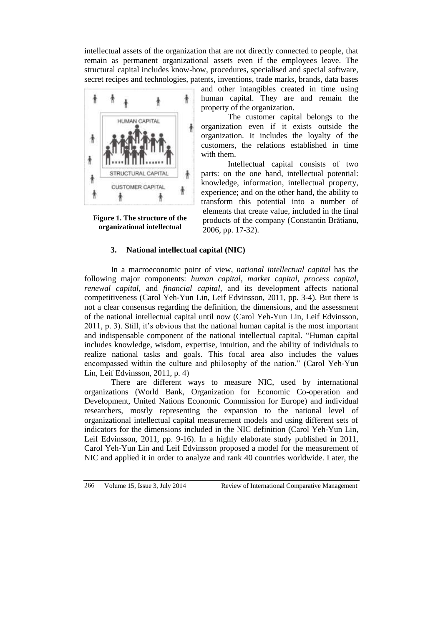intellectual assets of the organization that are not directly connected to people, that remain as permanent organizational assets even if the employees leave. The structural capital includes know-how, procedures, specialised and special software, secret recipes and technologies, patents, inventions, trade marks, brands, data bases



**Figure 1. The structure of the organizational intellectual** 

and other intangibles created in time using human capital. They are and remain the property of the organization.

The customer capital belongs to the organization even if it exists outside the organization. It includes the loyalty of the customers, the relations established in time with them.

Intellectual capital consists of two parts: on the one hand, intellectual potential: knowledge, information, intellectual property, experience; and on the other hand, the ability to transform this potential into a number of elements that create value, included in the final products of the company (Constantin Brătianu, 2006, pp. 17-32).

## **3. National intellectual capital (NIC)**

In a macroeconomic point of view, *national intellectual capital* has the following major components: *human capital*, *market capital*, *process capital*, *renewal capital*, and *financial capital*, and its development affects national competitiveness (Carol Yeh-Yun Lin, Leif Edvinsson, 2011, pp. 3-4). But there is not a clear consensus regarding the definition, the dimensions, and the assessment of the national intellectual capital until now (Carol Yeh-Yun Lin, Leif Edvinsson, 2011, p. 3). Still, it's obvious that the national human capital is the most important and indispensable component of the national intellectual capital. "Human capital includes knowledge, wisdom, expertise, intuition, and the ability of individuals to realize national tasks and goals. This focal area also includes the values encompassed within the culture and philosophy of the nation." (Carol Yeh-Yun Lin, Leif Edvinsson, 2011, p. 4)

There are different ways to measure NIC, used by international organizations (World Bank, Organization for Economic Co-operation and Development, United Nations Economic Commission for Europe) and individual researchers, mostly representing the expansion to the national level of organizational intellectual capital measurement models and using different sets of indicators for the dimensions included in the NIC definition (Carol Yeh-Yun Lin, Leif Edvinsson, 2011, pp. 9-16). In a highly elaborate study published in 2011, Carol Yeh-Yun Lin and Leif Edvinsson proposed a model for the measurement of NIC and applied it in order to analyze and rank 40 countries worldwide. Later, the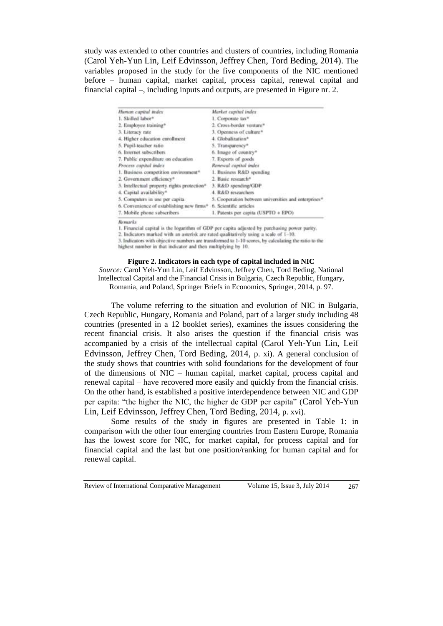study was extended to other countries and clusters of countries, including Romania (Carol Yeh-Yun Lin, Leif Edvinsson, Jeffrey Chen, Tord Beding, 2014). The variables proposed in the study for the five components of the NIC mentioned before – human capital, market capital, process capital, renewal capital and financial capital –, including inputs and outputs, are presented in Figure nr. 2.

| Human capital index                                     | Market capital index                                 |
|---------------------------------------------------------|------------------------------------------------------|
| 1. Skilled labor*                                       | 1. Corporate tax*                                    |
| 2. Employee training*                                   | 2. Cross-border venture*                             |
| 3. Literacy rate                                        | 3. Openness of culture*                              |
| 4. Higher education enrollment                          | 4. Globalization*                                    |
| 5. Pupil-teacher ratio                                  | 5. Transparency®                                     |
| 6. Internet subscribers                                 | 6. Image of country*                                 |
| 7. Public expenditure on education                      | 7. Exports of goods                                  |
| Process capital index                                   | Renewal capital index                                |
| 1. Business competition environment*                    | 1. Business R&D spending                             |
| 2. Government efficiency*                               | 2. Basic research*                                   |
| 3. Intellectual property rights protection <sup>®</sup> | 3. R&D spending/GDP                                  |
| 4. Capital availability*                                | 4. R&D researchers                                   |
| 5. Computers in use per capita                          | 5. Cooperation between universities and enterprises* |
| 6. Convenience of establishing new firms*               | 6. Scientific articles                               |
| 7. Mobile phone subscribers                             | 1. Patents per capita (USPTO + EPO)                  |
|                                                         |                                                      |

Remarks

1. Financial capital is the logarithm of GDP per capita adjusted by purchasing power parity.

2. Indicators marked with an asterisk are rated qualitatively using a scale of 1-10.

3. Indicators with objective numbers are transformed to 1-10 scores, by calculating the ratio to the highest number in that indicator and then multiplying by 10.

**Figure 2. Indicators in each type of capital included in NIC** *Source:* Carol Yeh-Yun Lin, Leif Edvinsson, Jeffrey Chen, Tord Beding, National Intellectual Capital and the Financial Crisis in Bulgaria, Czech Republic, Hungary, Romania, and Poland, Springer Briefs in Economics, Springer, 2014, p. 97.

The volume referring to the situation and evolution of NIC in Bulgaria, Czech Republic, Hungary, Romania and Poland, part of a larger study including 48 countries (presented in a 12 booklet series), examines the issues considering the recent financial crisis. It also arises the question if the financial crisis was accompanied by a crisis of the intellectual capital (Carol Yeh-Yun Lin, Leif Edvinsson, Jeffrey Chen, Tord Beding, 2014, p. xi). A general conclusion of the study shows that countries with solid foundations for the development of four of the dimensions of NIC – human capital, market capital, process capital and renewal capital – have recovered more easily and quickly from the financial crisis. On the other hand, is established a positive interdependence between NIC and GDP per capita: "the higher the NIC, the higher de GDP per capita" (Carol Yeh-Yun Lin, Leif Edvinsson, Jeffrey Chen, Tord Beding, 2014, p. xvi).

Some results of the study in figures are presented in Table 1: in comparison with the other four emerging countries from Eastern Europe, Romania has the lowest score for NIC, for market capital, for process capital and for financial capital and the last but one position/ranking for human capital and for renewal capital.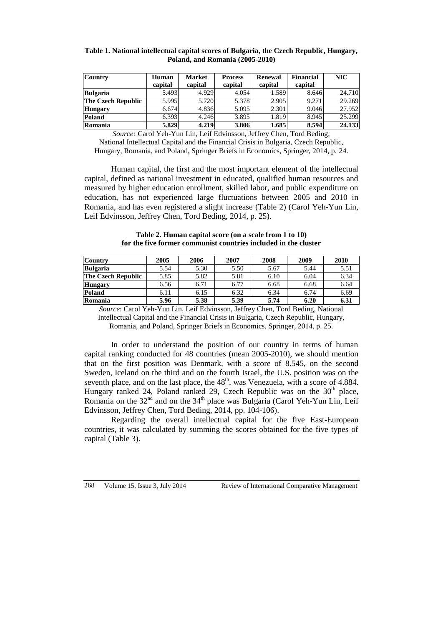| <b>Country</b>            | Human   | <b>Market</b> | <b>Process</b> | Renewal | Financial | NIC    |
|---------------------------|---------|---------------|----------------|---------|-----------|--------|
|                           | capital | capital       | capital        | capital | capital   |        |
| <b>Bulgaria</b>           | 5.493   | 4.929         | 4.054          | 1.589   | 8.646     | 24.710 |
| <b>The Czech Republic</b> | 5.995   | 5.720         | 5.378          | 2.905   | 9.271     | 29.269 |
| <b>Hungary</b>            | 6.674   | 4.836         | 5.095          | 2.301   | 9.046     | 27.952 |
| Poland                    | 6.393   | 4.246         | 3.895          | 1.819   | 8.945     | 25.299 |
| Romania                   | 5.829   | 4.219         | 3.806          | 1.685   | 8.594     | 24.133 |

#### **Table 1. National intellectual capital scores of Bulgaria, the Czech Republic, Hungary, Poland, and Romania (2005-2010)**

*Source:* Carol Yeh-Yun Lin, Leif Edvinsson, Jeffrey Chen, Tord Beding, National Intellectual Capital and the Financial Crisis in Bulgaria, Czech Republic, Hungary, Romania, and Poland, Springer Briefs in Economics, Springer, 2014, p. 24.

Human capital, the first and the most important element of the intellectual capital, defined as national investment in educated, qualified human resources and measured by higher education enrollment, skilled labor, and public expenditure on education, has not experienced large fluctuations between 2005 and 2010 in Romania, and has even registered a slight increase (Table 2) (Carol Yeh-Yun Lin, Leif Edvinsson, Jeffrey Chen, Tord Beding, 2014, p. 25).

**Table 2. Human capital score (on a scale from 1 to 10) for the five former communist countries included in the cluster**

| <b>Country</b>            | 2005 | 2006 | 2007 | 2008 | 2009 | 2010 |
|---------------------------|------|------|------|------|------|------|
| <b>Bulgaria</b>           | 5.54 | 5.30 | 5.50 | 5.67 | 5.44 | 5.51 |
| <b>The Czech Republic</b> | 5.85 | 5.82 | 5.81 | 6.10 | 6.04 | 6.34 |
| Hungary                   | 6.56 | 6.71 | 6.77 | 6.68 | 6.68 | 6.64 |
| Poland                    | 6.11 | 6.15 | 6.32 | 6.34 | 6.74 | 6.69 |
| Romania                   | 5.96 | 5.38 | 5.39 | 5.74 | 6.20 | 6.31 |

*Source*: Carol Yeh-Yun Lin, Leif Edvinsson, Jeffrey Chen, Tord Beding, National Intellectual Capital and the Financial Crisis in Bulgaria, Czech Republic, Hungary, Romania, and Poland, Springer Briefs in Economics, Springer, 2014, p. 25.

In order to understand the position of our country in terms of human capital ranking conducted for 48 countries (mean 2005-2010), we should mention that on the first position was Denmark, with a score of 8.545, on the second Sweden, Iceland on the third and on the fourth Israel, the U.S. position was on the seventh place, and on the last place, the  $48<sup>th</sup>$ , was Venezuela, with a score of 4.884. Hungary ranked 24, Poland ranked 29, Czech Republic was on the  $30<sup>th</sup>$  place, Romania on the  $32<sup>nd</sup>$  and on the  $34<sup>th</sup>$  place was Bulgaria (Carol Yeh-Yun Lin, Leif Edvinsson, Jeffrey Chen, Tord Beding, 2014, pp. 104-106).

Regarding the overall intellectual capital for the five East-European countries, it was calculated by summing the scores obtained for the five types of capital (Table 3).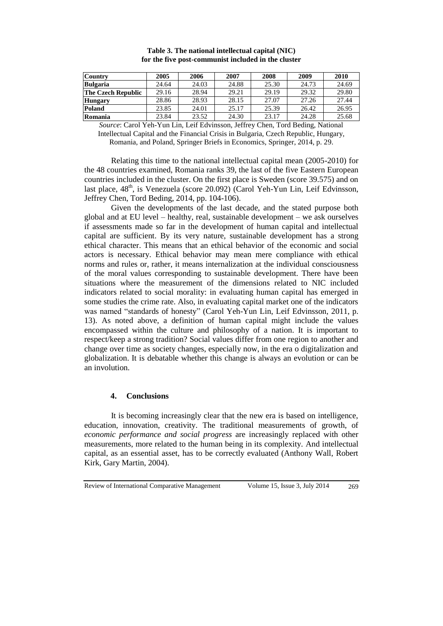| <b>Country</b>            | 2005  | 2006  | 2007  | 2008  | 2009  | 2010  |
|---------------------------|-------|-------|-------|-------|-------|-------|
| <b>Bulgaria</b>           | 24.64 | 24.03 | 24.88 | 25.30 | 24.73 | 24.69 |
| <b>The Czech Republic</b> | 29.16 | 28.94 | 29.21 | 29.19 | 29.32 | 29.80 |
| <b>Hungary</b>            | 28.86 | 28.93 | 28.15 | 27.07 | 27.26 | 27.44 |
| Poland                    | 23.85 | 24.01 | 25.17 | 25.39 | 26.42 | 26.95 |
| Romania                   | 23.84 | 23.52 | 24.30 | 23.17 | 24.28 | 25.68 |

**Table 3. The national intellectual capital (NIC) for the five post-communist included in the cluster**

*Source*: Carol Yeh-Yun Lin, Leif Edvinsson, Jeffrey Chen, Tord Beding, National Intellectual Capital and the Financial Crisis in Bulgaria, Czech Republic, Hungary, Romania, and Poland, Springer Briefs in Economics, Springer, 2014, p. 29.

Relating this time to the national intellectual capital mean (2005-2010) for the 48 countries examined, Romania ranks 39, the last of the five Eastern European countries included in the cluster. On the first place is Sweden (score 39.575) and on last place, 48<sup>th</sup>, is Venezuela (score 20.092) (Carol Yeh-Yun Lin, Leif Edvinsson, Jeffrey Chen, Tord Beding, 2014, pp. 104-106).

Given the developments of the last decade, and the stated purpose both global and at EU level – healthy, real, sustainable development – we ask ourselves if assessments made so far in the development of human capital and intellectual capital are sufficient. By its very nature, sustainable development has a strong ethical character. This means that an ethical behavior of the economic and social actors is necessary. Ethical behavior may mean mere compliance with ethical norms and rules or, rather, it means internalization at the individual consciousness of the moral values corresponding to sustainable development. There have been situations where the measurement of the dimensions related to NIC included indicators related to social morality: in evaluating human capital has emerged in some studies the crime rate. Also, in evaluating capital market one of the indicators was named "standards of honesty" (Carol Yeh-Yun Lin, Leif Edvinsson, 2011, p. 13). As noted above, a definition of human capital might include the values encompassed within the culture and philosophy of a nation. It is important to respect/keep a strong tradition? Social values differ from one region to another and change over time as society changes, especially now, in the era o digitalization and globalization. It is debatable whether this change is always an evolution or can be an involution.

#### **4. Conclusions**

It is becoming increasingly clear that the new era is based on intelligence, education, innovation, creativity. The traditional measurements of growth, of *economic performance and social progress* are increasingly replaced with other measurements, more related to the human being in its complexity. And intellectual capital, as an essential asset, has to be correctly evaluated (Anthony Wall, Robert Kirk, Gary Martin, 2004).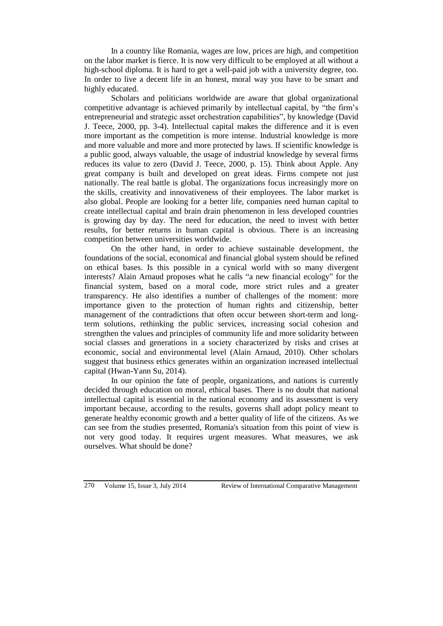In a country like Romania, wages are low, prices are high, and competition on the labor market is fierce. It is now very difficult to be employed at all without a high-school diploma. It is hard to get a well-paid job with a university degree, too. In order to live a decent life in an honest, moral way you have to be smart and highly educated.

Scholars and politicians worldwide are aware that global organizational competitive advantage is achieved primarily by intellectual capital, by "the firm's entrepreneurial and strategic asset orchestration capabilities", by knowledge (David J. Teece, 2000, pp. 3-4). Intellectual capital makes the difference and it is even more important as the competition is more intense. Industrial knowledge is more and more valuable and more and more protected by laws. If scientific knowledge is a public good, always valuable, the usage of industrial knowledge by several firms reduces its value to zero (David J. Teece, 2000, p. 15). Think about Apple. Any great company is built and developed on great ideas. Firms compete not just nationally. The real battle is global. The organizations focus increasingly more on the skills, creativity and innovativeness of their employees. The labor market is also global. People are looking for a better life, companies need human capital to create intellectual capital and brain drain phenomenon in less developed countries is growing day by day. The need for education, the need to invest with better results, for better returns in human capital is obvious. There is an increasing competition between universities worldwide.

On the other hand, in order to achieve sustainable development, the foundations of the social, economical and financial global system should be refined on ethical bases. Is this possible in a cynical world with so many divergent interests? Alain Arnaud proposes what he calls "a new financial ecology" for the financial system, based on a moral code, more strict rules and a greater transparency. He also identifies a number of challenges of the moment: more importance given to the protection of human rights and citizenship, better management of the contradictions that often occur between short-term and longterm solutions, rethinking the public services, increasing social cohesion and strengthen the values and principles of community life and more solidarity between social classes and generations in a society characterized by risks and crises at economic, social and environmental level (Alain Arnaud, 2010). Other scholars suggest that business ethics generates within an organization increased intellectual capital (Hwan-Yann Su, 2014).

In our opinion the fate of people, organizations, and nations is currently decided through education on moral, ethical bases. There is no doubt that national intellectual capital is essential in the national economy and its assessment is very important because, according to the results, governs shall adopt policy meant to generate healthy economic growth and a better quality of life of the citizens. As we can see from the studies presented, Romania's situation from this point of view is not very good today. It requires urgent measures. What measures, we ask ourselves. What should be done?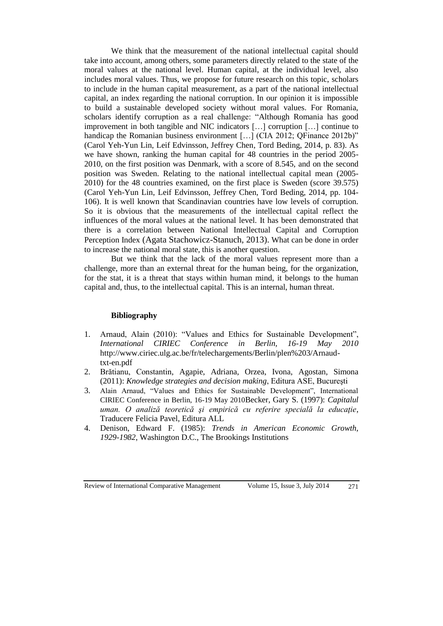We think that the measurement of the national intellectual capital should take into account, among others, some parameters directly related to the state of the moral values at the national level. Human capital, at the individual level, also includes moral values. Thus, we propose for future research on this topic, scholars to include in the human capital measurement, as a part of the national intellectual capital, an index regarding the national corruption. In our opinion it is impossible to build a sustainable developed society without moral values. For Romania, scholars identify corruption as a real challenge: "Although Romania has good improvement in both tangible and NIC indicators […] corruption […] continue to handicap the Romanian business environment [...] (CIA 2012; QFinance 2012b)" (Carol Yeh-Yun Lin, Leif Edvinsson, Jeffrey Chen, Tord Beding, 2014, p. 83). As we have shown, ranking the human capital for 48 countries in the period 2005- 2010, on the first position was Denmark, with a score of 8.545, and on the second position was Sweden. Relating to the national intellectual capital mean (2005- 2010) for the 48 countries examined, on the first place is Sweden (score 39.575) (Carol Yeh-Yun Lin, Leif Edvinsson, Jeffrey Chen, Tord Beding, 2014, pp. 104- 106). It is well known that Scandinavian countries have low levels of corruption. So it is obvious that the measurements of the intellectual capital reflect the influences of the moral values at the national level. It has been demonstrated that there is a correlation between National Intellectual Capital and Corruption Perception Index (Agata Stachowicz-Stanuch, 2013). What can be done in order to increase the national moral state, this is another question.

But we think that the lack of the moral values represent more than a challenge, more than an external threat for the human being, for the organization, for the stat, it is a threat that stays within human mind, it belongs to the human capital and, thus, to the intellectual capital. This is an internal, human threat.

## **Bibliography**

- 1. Arnaud, Alain (2010): "Values and Ethics for Sustainable Development", *International CIRIEC Conference in Berlin, 16-19 May 2010* http://www.ciriec.ulg.ac.be/fr/telechargements/Berlin/plen%203/Arnaudtxt-en.pdf
- 2. Brătianu, Constantin, Agapie, Adriana, Orzea, Ivona, Agostan, Simona (2011): *Knowledge strategies and decision making*, Editura ASE, Bucureşti
- 3. Alain Arnaud, "Values and Ethics for Sustainable Development", International CIRIEC Conference in Berlin, 16-19 May 2010Becker, Gary S. (1997): *Capitalul uman. O analiză teoretică şi empirică cu referire specială la educaţie*, Traducere Felicia Pavel, Editura ALL
- 4. Denison, Edward F. (1985): *Trends in American Economic Growth, 1929-1982*, Washington D.C., The Brookings Institutions